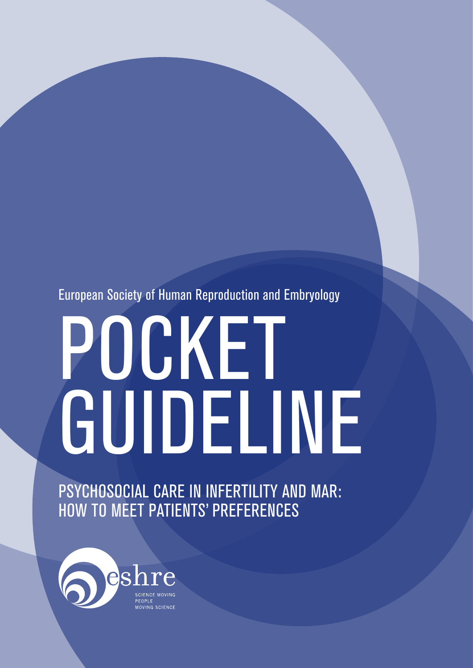European Society of Human Reproduction and Embryology

# POCKET GUIDELINE

PSYCHOSOCIAL CARE IN INFERTILITY AND MAR: HOW TO MEET PATIENTS' PREFERENCES

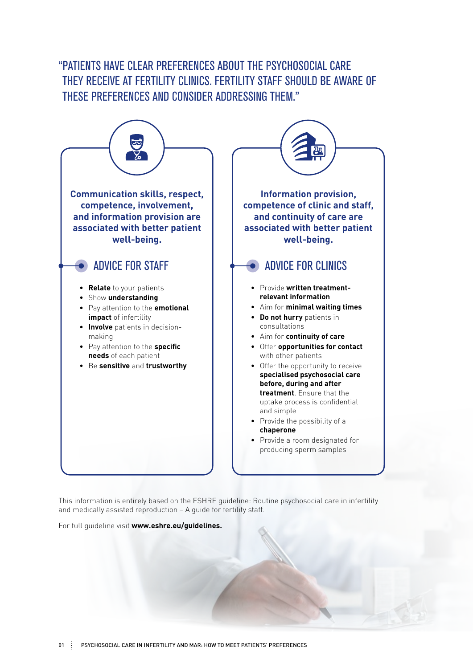### "PATIENTS HAVE CLEAR PREFERENCES ABOUT THE PSYCHOSOCIAL CARE THEY RECEIVE AT FERTILITY CLINICS. FERTILITY STAFF SHOULD BE AWARE OF THESE PREFERENCES AND CONSIDER ADDRESSING THEM."



This information is entirely based on the ESHRE guideline: Routine psychosocial care in infertility and medically assisted reproduction – A guide for fertility staff.

For full guideline visit **www.eshre.eu/guidelines.**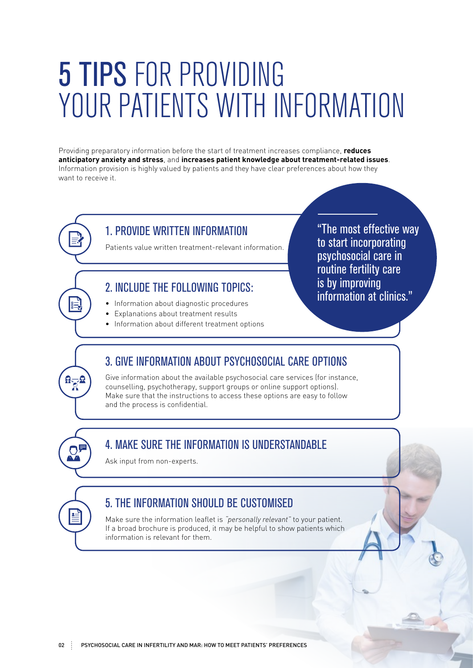# 5 TIPS FOR PROVIDING YOUR PATIENTS WITH INFORMATION

Providing preparatory information before the start of treatment increases compliance, **reduces anticipatory anxiety and stress**, and **increases patient knowledge about treatment-related issues**. Information provision is highly valued by patients and they have clear preferences about how they want to receive it.

> "The most effective way to start incorporating psychosocial care in routine fertility care

information at clinics."

is by improving

#### 1. PROVIDE WRITTEN INFORMATION

Patients value written treatment-relevant information.

#### 2. INCLUDE THE FOLLOWING TOPICS:

- Information about diagnostic procedures
- Explanations about treatment results
- Information about different treatment options

### 3. GIVE INFORMATION ABOUT PSYCHOSOCIAL CARE OPTIONS

Give information about the available psychosocial care services (for instance, counselling, psychotherapy, support groups or online support options). Make sure that the instructions to access these options are easy to follow and the process is confidential.

### 4. MAKE SURE THE INFORMATION IS UNDERSTANDABLE

Ask input from non-experts.

 $R_{\widetilde{R}}$ 

### 5. THE INFORMATION SHOULD BE CUSTOMISED

Make sure the information leaflet is *"personally relevant"* to your patient. If a broad brochure is produced, it may be helpful to show patients which information is relevant for them.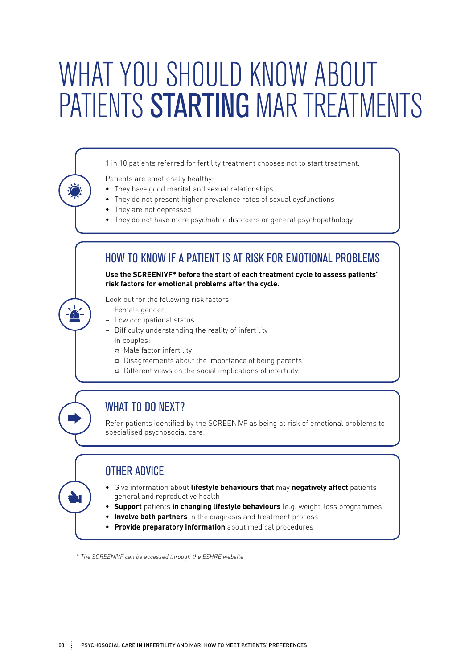# WHAT YOU SHOULD KNOW ABOUT PATIENTS STARTING MAR TREATMENTS

1 in 10 patients referred for fertility treatment chooses not to start treatment.

Patients are emotionally healthy:

- They have good marital and sexual relationships
- They do not present higher prevalence rates of sexual dysfunctions
- They are not depressed
- They do not have more psychiatric disorders or general psychopathology

#### HOW TO KNOW IF A PATIENT IS AT RISK FOR EMOTIONAL PROBLEMS

**Use the SCREENIVF\* before the start of each treatment cycle to assess patients' risk factors for emotional problems after the cycle.** 

Look out for the following risk factors:

- − Female gender
- − Low occupational status
- − Difficulty understanding the reality of infertility
- − In couples:

 $\Omega$ 

- ¤ Male factor infertility
- ¤ Disagreements about the importance of being parents
- ¤ Different views on the social implications of infertility

#### WHAT TO DO NEXT?

Refer patients identified by the SCREENIVF as being at risk of emotional problems to specialised psychosocial care.

#### OTHER ADVICE

- Give information about **lifestyle behaviours that** may **negatively affect** patients general and reproductive health
- **Support** patients **in changing lifestyle behaviours** (e.g. weight-loss programmes)
- **Involve both partners** in the diagnosis and treatment process
- **Provide preparatory information** about medical procedures

 *\* The SCREENIVF can be accessed through the ESHRE website*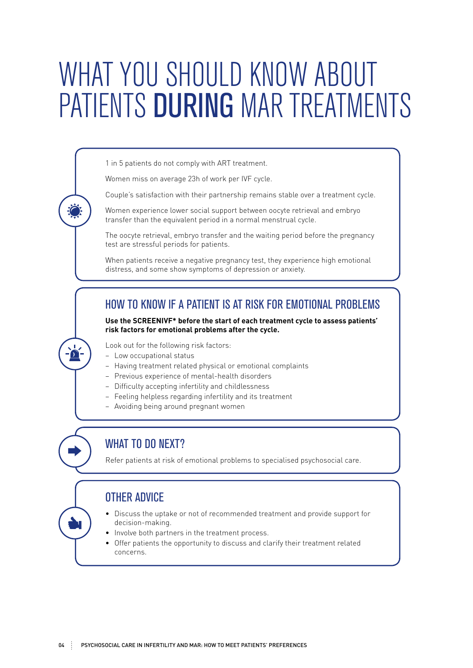# WHAT YOU SHOULD KNOW ABOUT PATIENTS DURING MAR TREATMENTS

1 in 5 patients do not comply with ART treatment.

Women miss on average 23h of work per IVF cycle.

Couple's satisfaction with their partnership remains stable over a treatment cycle.

Women experience lower social support between oocyte retrieval and embryo transfer than the equivalent period in a normal menstrual cycle.

The oocyte retrieval, embryo transfer and the waiting period before the pregnancy test are stressful periods for patients.

When patients receive a negative pregnancy test, they experience high emotional distress, and some show symptoms of depression or anxiety.

#### HOW TO KNOW IF A PATIENT IS AT RISK FOR EMOTIONAL PROBLEMS

**Use the SCREENIVF\* before the start of each treatment cycle to assess patients' risk factors for emotional problems after the cycle.** 

Look out for the following risk factors:

− Low occupational status

 $\Omega$ 

- − Having treatment related physical or emotional complaints
- − Previous experience of mental-health disorders
- − Difficulty accepting infertility and childlessness
- − Feeling helpless regarding infertility and its treatment
- − Avoiding being around pregnant women

### WHAT TO DO NEXT?

Refer patients at risk of emotional problems to specialised psychosocial care.

#### OTHER ADVICE

- Discuss the uptake or not of recommended treatment and provide support for decision-making.
- Involve both partners in the treatment process.
- Offer patients the opportunity to discuss and clarify their treatment related concerns.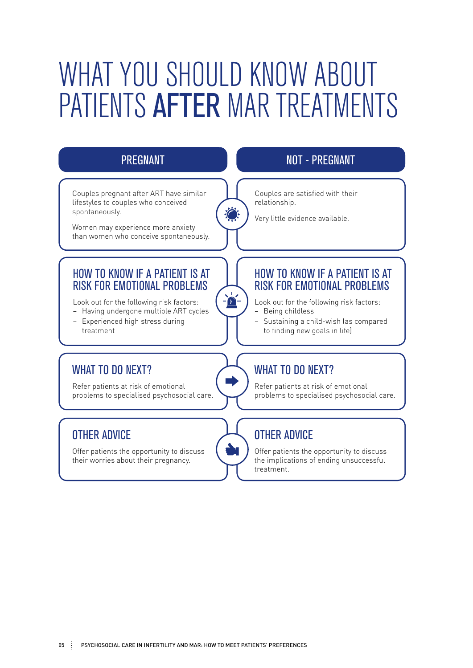# WHAT YOU SHOULD KNOW ABOUT PATIENTS AFTER MAR TREATMENTS